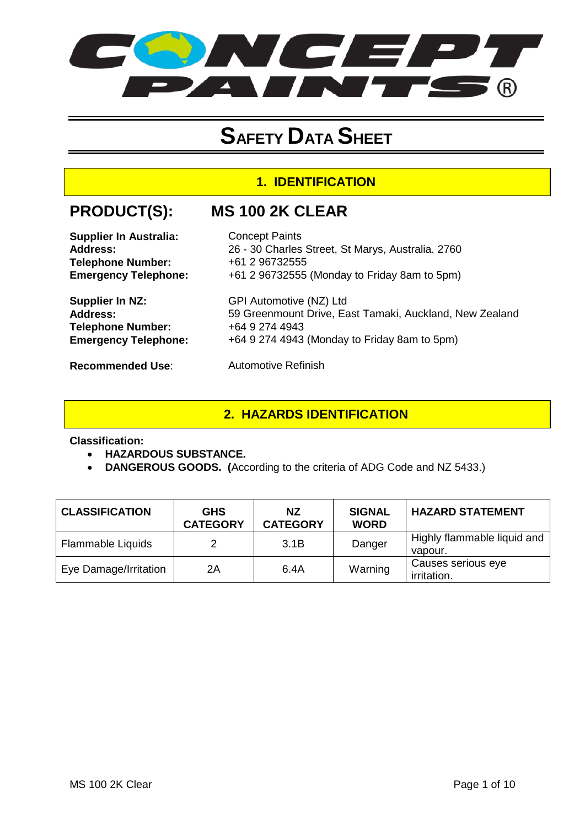

## **SAFETY DATA SHEET**

#### **1. IDENTIFICATION**

### **PRODUCT(S): MS 100 2K CLEAR**

| <b>Supplier In Australia:</b> | <b>Concept Paints</b>                                   |
|-------------------------------|---------------------------------------------------------|
| Address:                      | 26 - 30 Charles Street, St Marys, Australia. 2760       |
| <b>Telephone Number:</b>      | +61 2 96732555                                          |
| <b>Emergency Telephone:</b>   | +61 2 96732555 (Monday to Friday 8am to 5pm)            |
| Supplier In NZ:               | GPI Automotive (NZ) Ltd                                 |
| <b>Address:</b>               | 59 Greenmount Drive, East Tamaki, Auckland, New Zealand |
| <b>Telephone Number:</b>      | +64 9 274 4943                                          |
| <b>Emergency Telephone:</b>   | +64 9 274 4943 (Monday to Friday 8am to 5pm)            |
| <b>Recommended Use:</b>       | <b>Automotive Refinish</b>                              |

#### **2. HAZARDS IDENTIFICATION**

#### **Classification:**

- **HAZARDOUS SUBSTANCE.**
- **DANGEROUS GOODS. (**According to the criteria of ADG Code and NZ 5433.)

| <b>CLASSIFICATION</b> | <b>GHS</b><br><b>CATEGORY</b> | <b>NZ</b><br><b>CATEGORY</b> | <b>SIGNAL</b><br><b>WORD</b> | <b>HAZARD STATEMENT</b>                |
|-----------------------|-------------------------------|------------------------------|------------------------------|----------------------------------------|
| Flammable Liquids     |                               | 3.1B                         | Danger                       | Highly flammable liquid and<br>vapour. |
| Eye Damage/Irritation | 2A                            | 6.4A                         | Warning                      | Causes serious eye<br>irritation.      |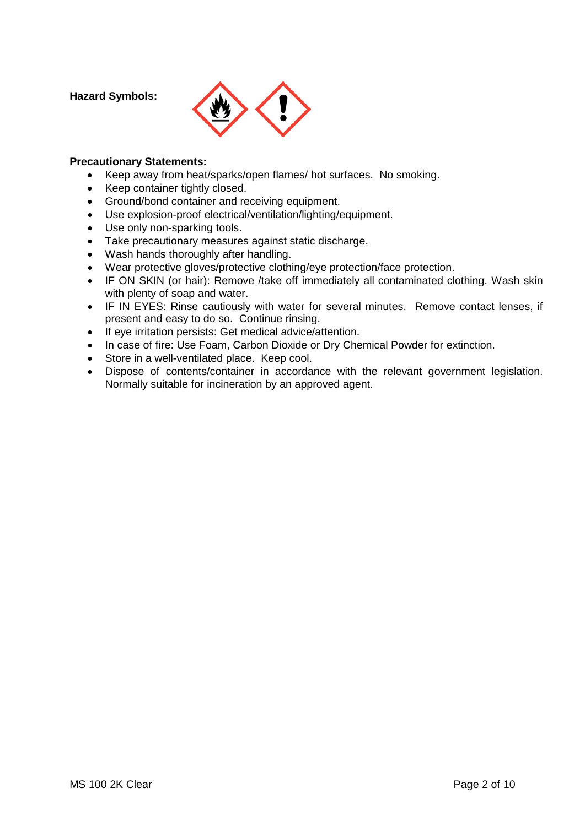**Hazard Symbols:** 



#### **Precautionary Statements:**

- Keep away from heat/sparks/open flames/ hot surfaces. No smoking.
- Keep container tightly closed.
- Ground/bond container and receiving equipment.
- Use explosion-proof electrical/ventilation/lighting/equipment.
- Use only non-sparking tools.
- Take precautionary measures against static discharge.
- Wash hands thoroughly after handling.
- Wear protective gloves/protective clothing/eye protection/face protection.
- IF ON SKIN (or hair): Remove /take off immediately all contaminated clothing. Wash skin with plenty of soap and water.
- IF IN EYES: Rinse cautiously with water for several minutes. Remove contact lenses, if present and easy to do so. Continue rinsing.
- If eye irritation persists: Get medical advice/attention.
- In case of fire: Use Foam, Carbon Dioxide or Dry Chemical Powder for extinction.
- Store in a well-ventilated place. Keep cool.
- Dispose of contents/container in accordance with the relevant government legislation. Normally suitable for incineration by an approved agent.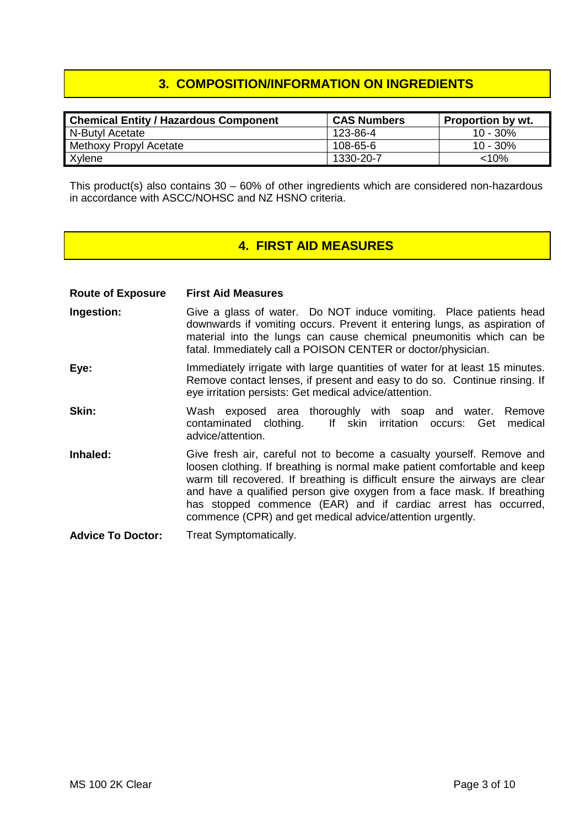#### **3. COMPOSITION/INFORMATION ON INGREDIENTS**

| <b>Chemical Entity / Hazardous Component</b> | <b>CAS Numbers</b> | <b>Proportion by wt.</b> |
|----------------------------------------------|--------------------|--------------------------|
| N-Butyl Acetate                              | 123-86-4           | $10 - 30\%$              |
| Methoxy Propyl Acetate                       | 108-65-6           | 10 - 30%                 |
| Xylene                                       | 1330-20-7          | $< 10\%$                 |

This product(s) also contains  $30 - 60\%$  of other ingredients which are considered non-hazardous in accordance with ASCC/NOHSC and NZ HSNO criteria.

#### **4. FIRST AID MEASURES**

**Route of Exposure First Aid Measures**

- **Ingestion:** Give a glass of water. Do NOT induce vomiting. Place patients head downwards if vomiting occurs. Prevent it entering lungs, as aspiration of material into the lungs can cause chemical pneumonitis which can be fatal. Immediately call a POISON CENTER or doctor/physician.
- **Eye:** Immediately irrigate with large quantities of water for at least 15 minutes. Remove contact lenses, if present and easy to do so. Continue rinsing. If eye irritation persists: Get medical advice/attention.
- **Skin:** Wash exposed area thoroughly with soap and water. Remove<br>contaminated clothing. If skin irritation occurs: Get medical If skin irritation occurs: Get medical advice/attention.
- **Inhaled:** Give fresh air, careful not to become a casualty yourself. Remove and loosen clothing. If breathing is normal make patient comfortable and keep warm till recovered. If breathing is difficult ensure the airways are clear and have a qualified person give oxygen from a face mask. If breathing has stopped commence (EAR) and if cardiac arrest has occurred, commence (CPR) and get medical advice/attention urgently.
- **Advice To Doctor:** Treat Symptomatically.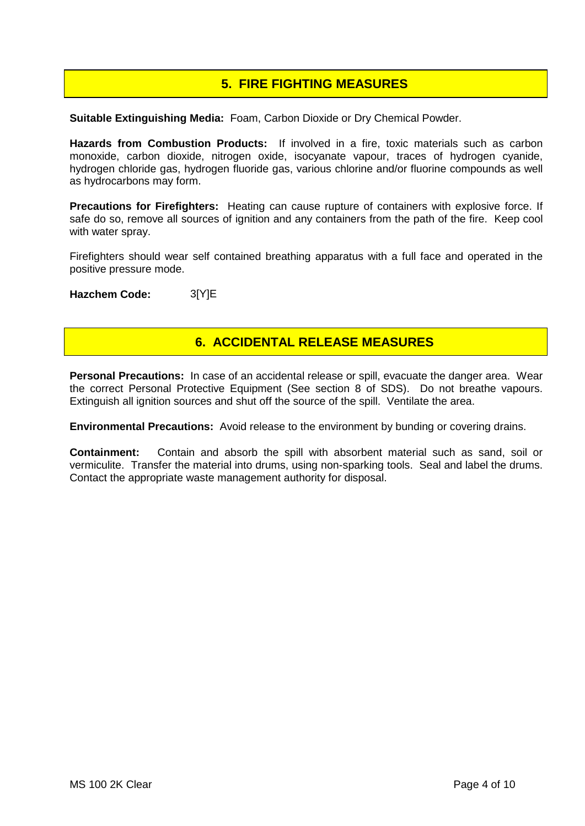#### **5. FIRE FIGHTING MEASURES**

**Suitable Extinguishing Media:** Foam, Carbon Dioxide or Dry Chemical Powder.

**Hazards from Combustion Products:** If involved in a fire, toxic materials such as carbon monoxide, carbon dioxide, nitrogen oxide, isocyanate vapour, traces of hydrogen cyanide, hydrogen chloride gas, hydrogen fluoride gas, various chlorine and/or fluorine compounds as well as hydrocarbons may form.

**Precautions for Firefighters:** Heating can cause rupture of containers with explosive force. If safe do so, remove all sources of ignition and any containers from the path of the fire. Keep cool with water spray.

Firefighters should wear self contained breathing apparatus with a full face and operated in the positive pressure mode.

**Hazchem Code:** 3[Y]E

#### **6. ACCIDENTAL RELEASE MEASURES**

**Personal Precautions:** In case of an accidental release or spill, evacuate the danger area. Wear the correct Personal Protective Equipment (See section 8 of SDS). Do not breathe vapours. Extinguish all ignition sources and shut off the source of the spill. Ventilate the area.

**Environmental Precautions:** Avoid release to the environment by bunding or covering drains.

**Containment:** Contain and absorb the spill with absorbent material such as sand, soil or vermiculite. Transfer the material into drums, using non-sparking tools. Seal and label the drums. Contact the appropriate waste management authority for disposal.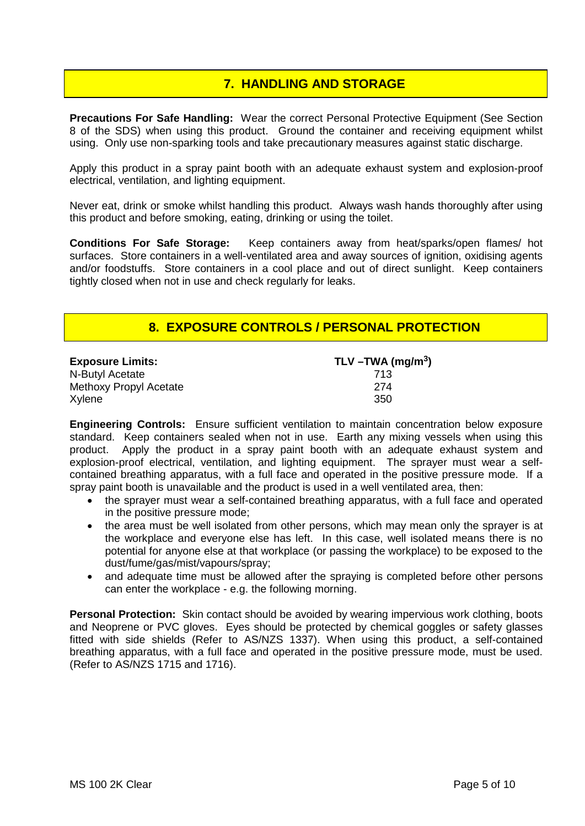#### **7. HANDLING AND STORAGE**

**Precautions For Safe Handling:** Wear the correct Personal Protective Equipment (See Section 8 of the SDS) when using this product. Ground the container and receiving equipment whilst using. Only use non-sparking tools and take precautionary measures against static discharge.

Apply this product in a spray paint booth with an adequate exhaust system and explosion-proof electrical, ventilation, and lighting equipment.

Never eat, drink or smoke whilst handling this product. Always wash hands thoroughly after using this product and before smoking, eating, drinking or using the toilet.

**Conditions For Safe Storage:** Keep containers away from heat/sparks/open flames/ hot surfaces. Store containers in a well-ventilated area and away sources of ignition, oxidising agents and/or foodstuffs. Store containers in a cool place and out of direct sunlight. Keep containers tightly closed when not in use and check regularly for leaks.

#### **8. EXPOSURE CONTROLS / PERSONAL PROTECTION**

| <b>Exposure Limits:</b> | TLV -TWA (mg/m <sup>3</sup> ) |
|-------------------------|-------------------------------|
| N-Butyl Acetate         | 713                           |
| Methoxy Propyl Acetate  | 274                           |
| Xylene                  | 350                           |

**Engineering Controls:** Ensure sufficient ventilation to maintain concentration below exposure standard. Keep containers sealed when not in use. Earth any mixing vessels when using this product. Apply the product in a spray paint booth with an adequate exhaust system and explosion-proof electrical, ventilation, and lighting equipment. The sprayer must wear a selfcontained breathing apparatus, with a full face and operated in the positive pressure mode. If a spray paint booth is unavailable and the product is used in a well ventilated area, then:

- the sprayer must wear a self-contained breathing apparatus, with a full face and operated in the positive pressure mode;
- the area must be well isolated from other persons, which may mean only the sprayer is at the workplace and everyone else has left. In this case, well isolated means there is no potential for anyone else at that workplace (or passing the workplace) to be exposed to the dust/fume/gas/mist/vapours/spray;
- and adequate time must be allowed after the spraying is completed before other persons can enter the workplace - e.g. the following morning.

**Personal Protection:** Skin contact should be avoided by wearing impervious work clothing, boots and Neoprene or PVC gloves. Eyes should be protected by chemical goggles or safety glasses fitted with side shields (Refer to AS/NZS 1337). When using this product, a self-contained breathing apparatus, with a full face and operated in the positive pressure mode, must be used. (Refer to AS/NZS 1715 and 1716).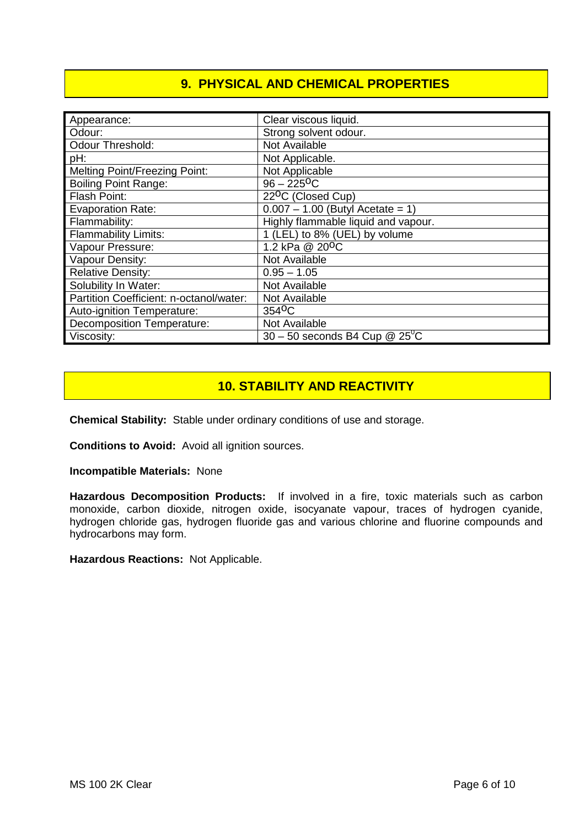#### **9. PHYSICAL AND CHEMICAL PROPERTIES**

| Appearance:                             | Clear viscous liquid.                        |
|-----------------------------------------|----------------------------------------------|
| Odour:                                  | Strong solvent odour.                        |
| <b>Odour Threshold:</b>                 | Not Available                                |
| pH:                                     | Not Applicable.                              |
| <b>Melting Point/Freezing Point:</b>    | Not Applicable                               |
| <b>Boiling Point Range:</b>             | $96 - 225$ <sup>O</sup> C                    |
| Flash Point:                            | 22 <sup>O</sup> C (Closed Cup)               |
| <b>Evaporation Rate:</b>                | $0.007 - 1.00$ (Butyl Acetate = 1)           |
| Flammability:                           | Highly flammable liquid and vapour.          |
| <b>Flammability Limits:</b>             | 1 (LEL) to 8% (UEL) by volume                |
| Vapour Pressure:                        | 1.2 kPa @ 20 <sup>o</sup> C                  |
| Vapour Density:                         | Not Available                                |
| <b>Relative Density:</b>                | $0.95 - 1.05$                                |
| Solubility In Water:                    | Not Available                                |
| Partition Coefficient: n-octanol/water: | Not Available                                |
| Auto-ignition Temperature:              | 354 <sup>o</sup> C                           |
| <b>Decomposition Temperature:</b>       | Not Available                                |
| Viscosity:                              | $30 - 50$ seconds B4 Cup @ 25 <sup>o</sup> C |

#### **10. STABILITY AND REACTIVITY**

**Chemical Stability:** Stable under ordinary conditions of use and storage.

**Conditions to Avoid:** Avoid all ignition sources.

**Incompatible Materials:** None

**Hazardous Decomposition Products:** If involved in a fire, toxic materials such as carbon monoxide, carbon dioxide, nitrogen oxide, isocyanate vapour, traces of hydrogen cyanide, hydrogen chloride gas, hydrogen fluoride gas and various chlorine and fluorine compounds and hydrocarbons may form.

**Hazardous Reactions:** Not Applicable.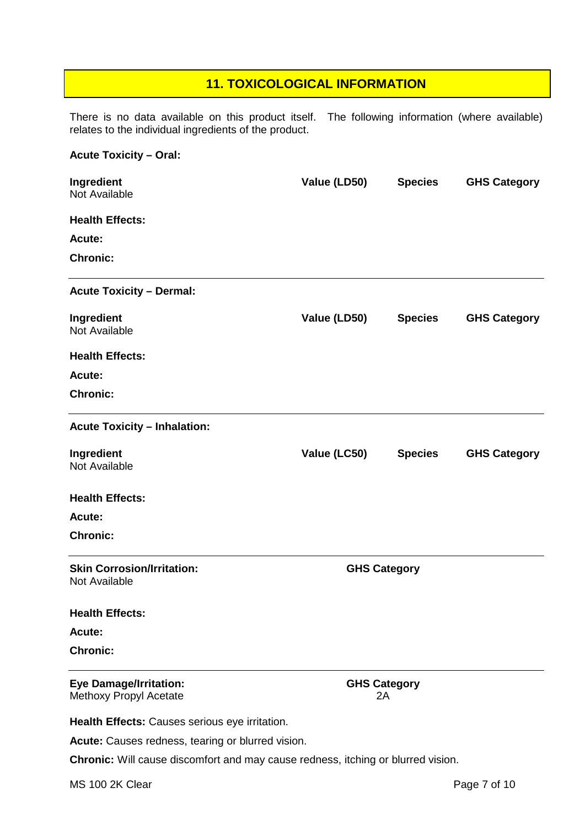#### **11. TOXICOLOGICAL INFORMATION**

There is no data available on this product itself. The following information (where available) relates to the individual ingredients of the product.

# **Acute Toxicity – Oral:**

| Ingredient<br>Not Available                             | Value (LD50) | <b>Species</b>            | <b>GHS Category</b> |
|---------------------------------------------------------|--------------|---------------------------|---------------------|
| <b>Health Effects:</b>                                  |              |                           |                     |
| Acute:                                                  |              |                           |                     |
| <b>Chronic:</b>                                         |              |                           |                     |
| <b>Acute Toxicity - Dermal:</b>                         |              |                           |                     |
| Ingredient<br>Not Available                             | Value (LD50) | <b>Species</b>            | <b>GHS Category</b> |
| <b>Health Effects:</b>                                  |              |                           |                     |
| Acute:                                                  |              |                           |                     |
| <b>Chronic:</b>                                         |              |                           |                     |
| <b>Acute Toxicity - Inhalation:</b>                     |              |                           |                     |
| Ingredient<br>Not Available                             | Value (LC50) | <b>Species</b>            | <b>GHS Category</b> |
| <b>Health Effects:</b>                                  |              |                           |                     |
| Acute:                                                  |              |                           |                     |
| <b>Chronic:</b>                                         |              |                           |                     |
| <b>Skin Corrosion/Irritation:</b><br>Not Available      |              | <b>GHS Category</b>       |                     |
| <b>Health Effects:</b>                                  |              |                           |                     |
| Acute:                                                  |              |                           |                     |
| <b>Chronic:</b>                                         |              |                           |                     |
| <b>Eye Damage/Irritation:</b><br>Methoxy Propyl Acetate |              | <b>GHS Category</b><br>2A |                     |
| Health Effects: Causes serious eye irritation.          |              |                           |                     |

**Acute:** Causes redness, tearing or blurred vision.

**Chronic:** Will cause discomfort and may cause redness, itching or blurred vision.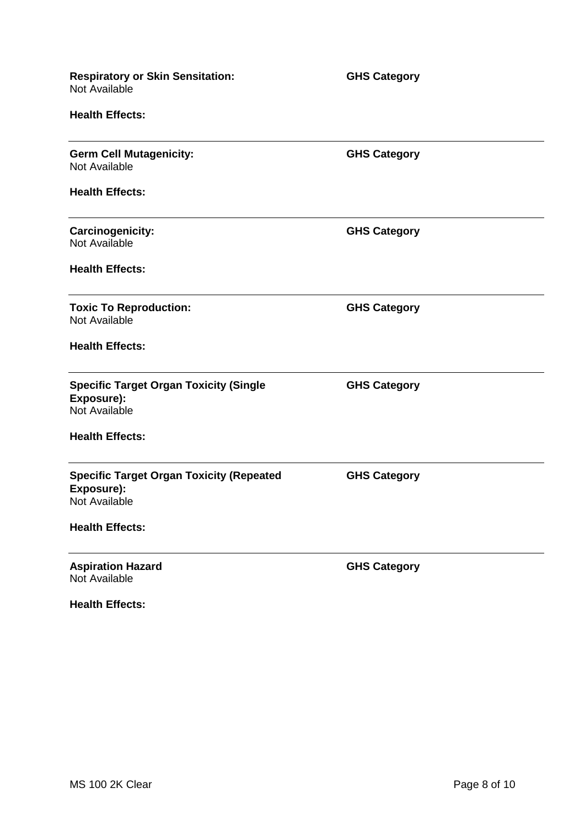| <b>Respiratory or Skin Sensitation:</b><br>Not Available                       | <b>GHS Category</b> |  |
|--------------------------------------------------------------------------------|---------------------|--|
| <b>Health Effects:</b>                                                         |                     |  |
| <b>Germ Cell Mutagenicity:</b><br>Not Available                                | <b>GHS Category</b> |  |
| <b>Health Effects:</b>                                                         |                     |  |
| <b>Carcinogenicity:</b><br>Not Available                                       | <b>GHS Category</b> |  |
| <b>Health Effects:</b>                                                         |                     |  |
| <b>Toxic To Reproduction:</b><br>Not Available                                 | <b>GHS Category</b> |  |
| <b>Health Effects:</b>                                                         |                     |  |
| <b>Specific Target Organ Toxicity (Single</b><br>Exposure):<br>Not Available   | <b>GHS Category</b> |  |
| <b>Health Effects:</b>                                                         |                     |  |
| <b>Specific Target Organ Toxicity (Repeated</b><br>Exposure):<br>Not Available | <b>GHS Category</b> |  |
| <b>Health Effects:</b>                                                         |                     |  |
| <b>Aspiration Hazard</b><br>Not Available                                      | <b>GHS Category</b> |  |
| <b>Health Effects:</b>                                                         |                     |  |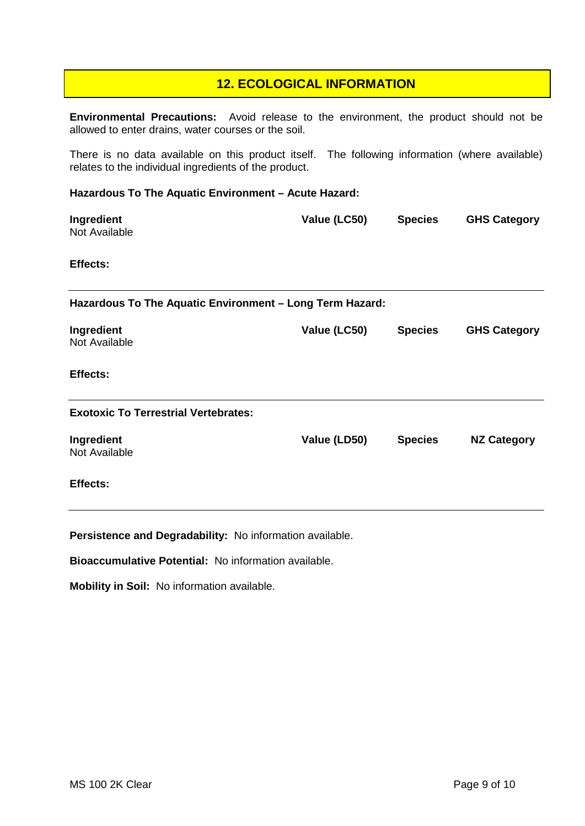#### **12. ECOLOGICAL INFORMATION**

**Environmental Precautions:** Avoid release to the environment, the product should not be allowed to enter drains, water courses or the soil.

There is no data available on this product itself. The following information (where available) relates to the individual ingredients of the product.

#### **Hazardous To The Aquatic Environment – Acute Hazard:**

| Ingredient<br>Not Available                              | Value (LC50) | <b>Species</b> | <b>GHS Category</b> |
|----------------------------------------------------------|--------------|----------------|---------------------|
| Effects:                                                 |              |                |                     |
| Hazardous To The Aquatic Environment - Long Term Hazard: |              |                |                     |
| Ingredient<br>Not Available                              | Value (LC50) | <b>Species</b> | <b>GHS Category</b> |
| Effects:                                                 |              |                |                     |
| <b>Exotoxic To Terrestrial Vertebrates:</b>              |              |                |                     |
| Ingredient<br>Not Available                              | Value (LD50) | <b>Species</b> | <b>NZ Category</b>  |
| <b>Effects:</b>                                          |              |                |                     |

**Persistence and Degradability:** No information available.

**Bioaccumulative Potential:** No information available.

**Mobility in Soil:** No information available.